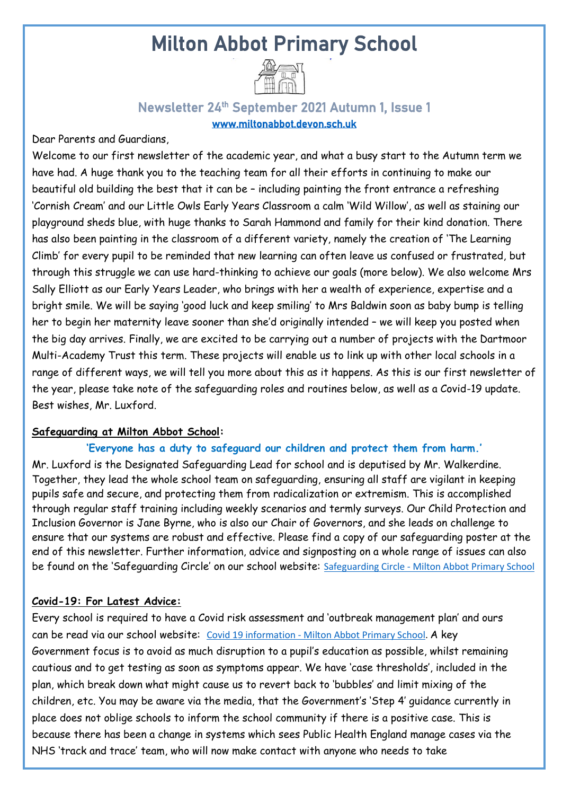# Milton Abbot Primary School



### Newsletter 24<sup>th</sup> September 2021 Autumn 1, Issue 1 [www.miltonabbot.devon.sch.uk](http://www.miltonabbot.devon.sch.uk/)

Dear Parents and Guardians,

Welcome to our first newsletter of the academic year, and what a busy start to the Autumn term we have had. A huge thank you to the teaching team for all their efforts in continuing to make our beautiful old building the best that it can be – including painting the front entrance a refreshing 'Cornish Cream' and our Little Owls Early Years Classroom a calm 'Wild Willow', as well as staining our playground sheds blue, with huge thanks to Sarah Hammond and family for their kind donation. There has also been painting in the classroom of a different variety, namely the creation of 'The Learning Climb' for every pupil to be reminded that new learning can often leave us confused or frustrated, but through this struggle we can use hard-thinking to achieve our goals (more below). We also welcome Mrs Sally Elliott as our Early Years Leader, who brings with her a wealth of experience, expertise and a bright smile. We will be saying 'good luck and keep smiling' to Mrs Baldwin soon as baby bump is telling her to begin her maternity leave sooner than she'd originally intended – we will keep you posted when the big day arrives. Finally, we are excited to be carrying out a number of projects with the Dartmoor Multi-Academy Trust this term. These projects will enable us to link up with other local schools in a range of different ways, we will tell you more about this as it happens. As this is our first newsletter of the year, please take note of the safeguarding roles and routines below, as well as a Covid-19 update. Best wishes, Mr. Luxford.

#### **Safeguarding at Milton Abbot School:**

#### **'Everyone has a duty to safeguard our children and protect them from harm.'**

Mr. Luxford is the Designated Safeguarding Lead for school and is deputised by Mr. Walkerdine. Together, they lead the whole school team on safeguarding, ensuring all staff are vigilant in keeping pupils safe and secure, and protecting them from radicalization or extremism. This is accomplished through regular staff training including weekly scenarios and termly surveys. Our Child Protection and Inclusion Governor is Jane Byrne, who is also our Chair of Governors, and she leads on challenge to ensure that our systems are robust and effective. Please find a copy of our safeguarding poster at the end of this newsletter. Further information, advice and signposting on a whole range of issues can also be found on the 'Safeguarding Circle' on our school website: Safeguarding Circle - [Milton Abbot Primary School](https://www.miltonabbot.devon.sch.uk/safeguarding-circle.html)

#### **Covid-19: For Latest Advice:**

Every school is required to have a Covid risk assessment and 'outbreak management plan' and ours can be read via our school website: Covid 19 information - [Milton Abbot Primary School.](https://www.miltonabbot.devon.sch.uk/covid-19-information.html) A key Government focus is to avoid as much disruption to a pupil's education as possible, whilst remaining cautious and to get testing as soon as symptoms appear. We have 'case thresholds', included in the plan, which break down what might cause us to revert back to 'bubbles' and limit mixing of the children, etc. You may be aware via the media, that the Government's 'Step 4' guidance currently in place does not oblige schools to inform the school community if there is a positive case. This is because there has been a change in systems which sees Public Health England manage cases via the NHS 'track and trace' team, who will now make contact with anyone who needs to take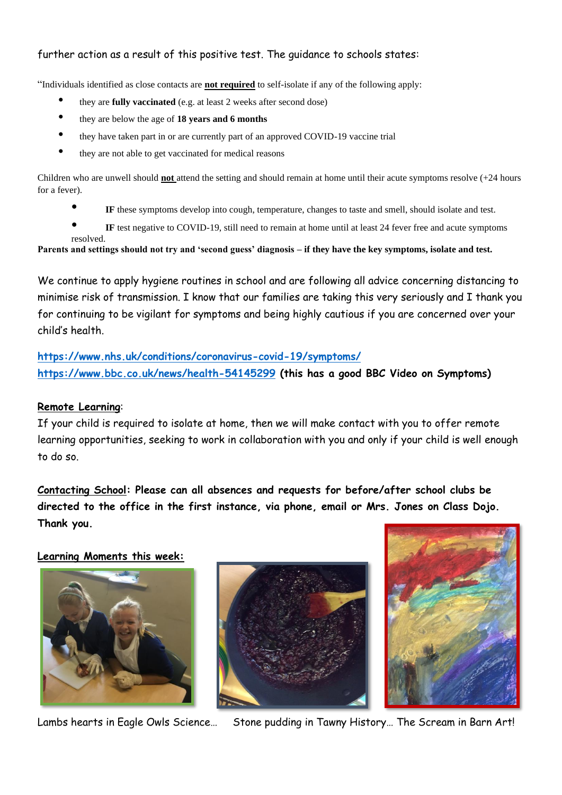#### further action as a result of this positive test. The guidance to schools states:

"Individuals identified as close contacts are **not required** to self-isolate if any of the following apply:

- they are **fully vaccinated** (e.g. at least 2 weeks after second dose)
- they are below the age of **18 years and 6 months**
- they have taken part in or are currently part of an approved COVID-19 vaccine trial
- they are not able to get vaccinated for medical reasons

Children who are unwell should **not** attend the setting and should remain at home until their acute symptoms resolve (+24 hours for a fever).

- **IF** these symptoms develop into cough, temperature, changes to taste and smell, should isolate and test.
- **IF** test negative to COVID-19, still need to remain at home until at least 24 fever free and acute symptoms resolved.

**Parents and settings should not try and 'second guess' diagnosis – if they have the key symptoms, isolate and test.**

We continue to apply hygiene routines in school and are following all advice concerning distancing to minimise risk of transmission. I know that our families are taking this very seriously and I thank you for continuing to be vigilant for symptoms and being highly cautious if you are concerned over your child's health.

**<https://www.nhs.uk/conditions/coronavirus-covid-19/symptoms/> <https://www.bbc.co.uk/news/health-54145299> (this has a good BBC Video on Symptoms)**

#### **Remote Learning**:

If your child is required to isolate at home, then we will make contact with you to offer remote learning opportunities, seeking to work in collaboration with you and only if your child is well enough to do so.

**Contacting School: Please can all absences and requests for before/after school clubs be directed to the office in the first instance, via phone, email or Mrs. Jones on Class Dojo. Thank you.**

#### **Learning Moments this week:**







Lambs hearts in Eagle Owls Science… Stone pudding in Tawny History… The Scream in Barn Art!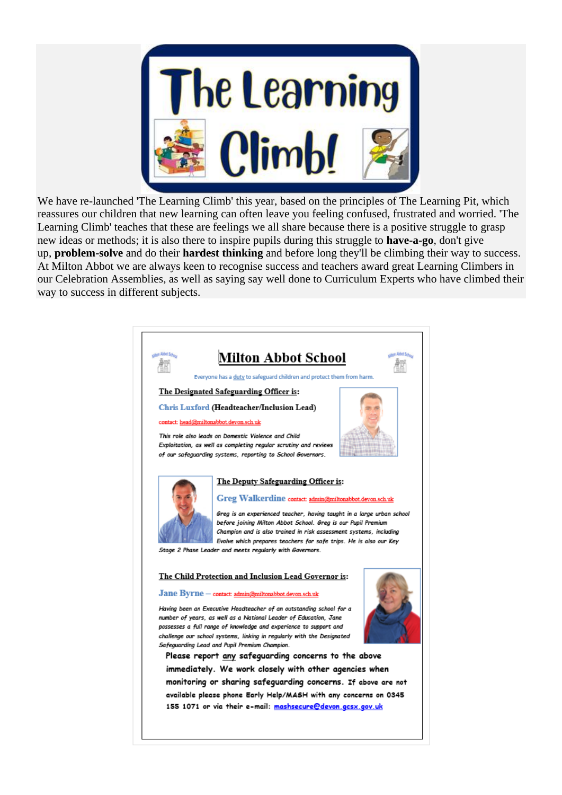

We have re-launched 'The Learning Climb' this year, based on the principles of The Learning Pit, which reassures our children that new learning can often leave you feeling confused, frustrated and worried. 'The Learning Climb' teaches that these are feelings we all share because there is a positive struggle to grasp new ideas or methods; it is also there to inspire pupils during this struggle to **have-a-go**, don't give up, **problem-solve** and do their **hardest thinking** and before long they'll be climbing their way to success. At Milton Abbot we are always keen to recognise success and teachers award great Learning Climbers in our Celebration Assemblies, as well as saying say well done to Curriculum Experts who have climbed their way to success in different subjects.